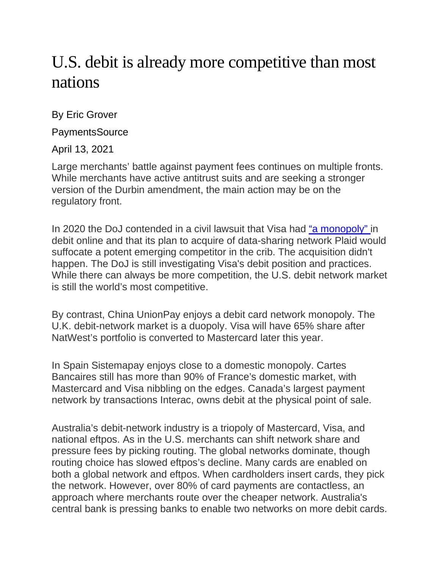## U.S. debit is already more competitive than most nations

By Eric Grover

**PaymentsSource** 

April 13, 2021

Large merchants' battle against payment fees continues on multiple fronts. While merchants have active antitrust suits and are seeking a stronger version of the Durbin amendment, the main action may be on the regulatory front.

In 2020 the DoJ contended in a civil lawsuit that Visa had ["a monopoly"](https://www.justice.gov/opa/press-release/file/1334726/download) in debit online and that its plan to acquire of data-sharing network Plaid would suffocate a potent emerging competitor in the crib. The acquisition didn't happen. The DoJ is still investigating Visa's debit position and practices. While there can always be more competition, the U.S. debit network market is still the world's most competitive.

By contrast, China UnionPay enjoys a debit card network monopoly. The U.K. debit-network market is a duopoly. Visa will have 65% share after NatWest's portfolio is converted to Mastercard later this year.

In Spain Sistemapay enjoys close to a domestic monopoly. Cartes Bancaires still has more than 90% of France's domestic market, with Mastercard and Visa nibbling on the edges. Canada's largest payment network by transactions Interac, owns debit at the physical point of sale.

Australia's debit-network industry is a triopoly of Mastercard, Visa, and national eftpos. As in the U.S. merchants can shift network share and pressure fees by picking routing. The global networks dominate, though routing choice has slowed eftpos's decline. Many cards are enabled on both a global network and eftpos. When cardholders insert cards, they pick the network. However, over 80% of card payments are contactless, an approach where merchants route over the cheaper network. Australia's central bank is pressing banks to enable two networks on more debit cards.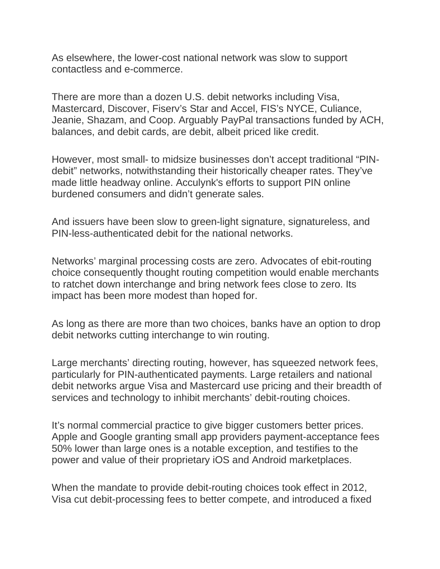As elsewhere, the lower-cost national network was slow to support contactless and e-commerce.

There are more than a dozen U.S. debit networks including Visa, Mastercard, Discover, Fiserv's Star and Accel, FIS's NYCE, Culiance, Jeanie, Shazam, and Coop. Arguably PayPal transactions funded by ACH, balances, and debit cards, are debit, albeit priced like credit.

However, most small- to midsize businesses don't accept traditional "PINdebit" networks, notwithstanding their historically cheaper rates. They've made little headway online. Acculynk's efforts to support PIN online burdened consumers and didn't generate sales.

And issuers have been slow to green-light signature, signatureless, and PIN-less-authenticated debit for the national networks.

Networks' marginal processing costs are zero. Advocates of ebit-routing choice consequently thought routing competition would enable merchants to ratchet down interchange and bring network fees close to zero. Its impact has been more modest than hoped for.

As long as there are more than two choices, banks have an option to drop debit networks cutting interchange to win routing.

Large merchants' directing routing, however, has squeezed network fees, particularly for PIN-authenticated payments. Large retailers and national debit networks argue Visa and Mastercard use pricing and their breadth of services and technology to inhibit merchants' debit-routing choices.

It's normal commercial practice to give bigger customers better prices. Apple and Google granting small app providers payment-acceptance fees 50% lower than large ones is a notable exception, and testifies to the power and value of their proprietary iOS and Android marketplaces.

When the mandate to provide debit-routing choices took effect in 2012, Visa cut debit-processing fees to better compete, and introduced a fixed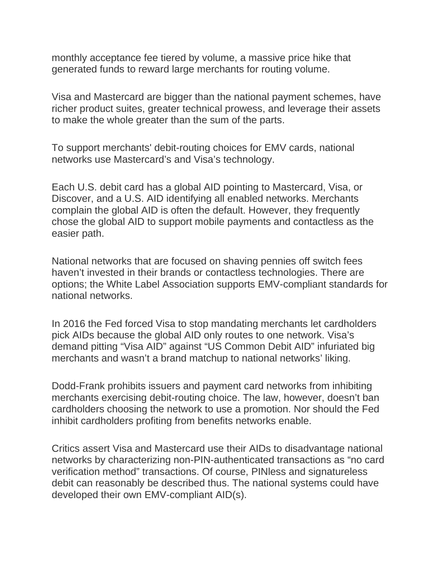monthly acceptance fee tiered by volume, a massive price hike that generated funds to reward large merchants for routing volume.

Visa and Mastercard are bigger than the national payment schemes, have richer product suites, greater technical prowess, and leverage their assets to make the whole greater than the sum of the parts.

To support merchants' debit-routing choices for EMV cards, national networks use Mastercard's and Visa's technology.

Each U.S. debit card has a global AID pointing to Mastercard, Visa, or Discover, and a U.S. AID identifying all enabled networks. Merchants complain the global AID is often the default. However, they frequently chose the global AID to support mobile payments and contactless as the easier path.

National networks that are focused on shaving pennies off switch fees haven't invested in their brands or contactless technologies. There are options; the White Label Association supports EMV-compliant standards for national networks.

In 2016 the Fed forced Visa to stop mandating merchants let cardholders pick AIDs because the global AID only routes to one network. Visa's demand pitting "Visa AID" against "US Common Debit AID" infuriated big merchants and wasn't a brand matchup to national networks' liking.

Dodd-Frank prohibits issuers and payment card networks from inhibiting merchants exercising debit-routing choice. The law, however, doesn't ban cardholders choosing the network to use a promotion. Nor should the Fed inhibit cardholders profiting from benefits networks enable.

Critics assert Visa and Mastercard use their AIDs to disadvantage national networks by characterizing non-PIN-authenticated transactions as "no card verification method" transactions. Of course, PINless and signatureless debit can reasonably be described thus. The national systems could have developed their own EMV-compliant AID(s).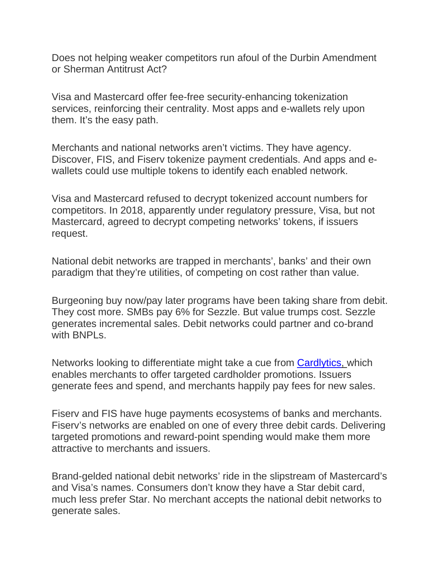Does not helping weaker competitors run afoul of the Durbin Amendment or Sherman Antitrust Act?

Visa and Mastercard offer fee-free security-enhancing tokenization services, reinforcing their centrality. Most apps and e-wallets rely upon them. It's the easy path.

Merchants and national networks aren't victims. They have agency. Discover, FIS, and Fiserv tokenize payment credentials. And apps and ewallets could use multiple tokens to identify each enabled network.

Visa and Mastercard refused to decrypt tokenized account numbers for competitors. In 2018, apparently under regulatory pressure, Visa, but not Mastercard, agreed to decrypt competing networks' tokens, if issuers request.

National debit networks are trapped in merchants', banks' and their own paradigm that they're utilities, of competing on cost rather than value.

Burgeoning buy now/pay later programs have been taking share from debit. They cost more. SMBs pay 6% for Sezzle. But value trumps cost. Sezzle generates incremental sales. Debit networks could partner and co-brand with BNPLs.

Networks looking to differentiate might take a cue from [Cardlytics,](https://www.cardlytics.com/) which enables merchants to offer targeted cardholder promotions. Issuers generate fees and spend, and merchants happily pay fees for new sales.

Fiserv and FIS have huge payments ecosystems of banks and merchants. Fiserv's networks are enabled on one of every three debit cards. Delivering targeted promotions and reward-point spending would make them more attractive to merchants and issuers.

Brand-gelded national debit networks' ride in the slipstream of Mastercard's and Visa's names. Consumers don't know they have a Star debit card, much less prefer Star. No merchant accepts the national debit networks to generate sales.